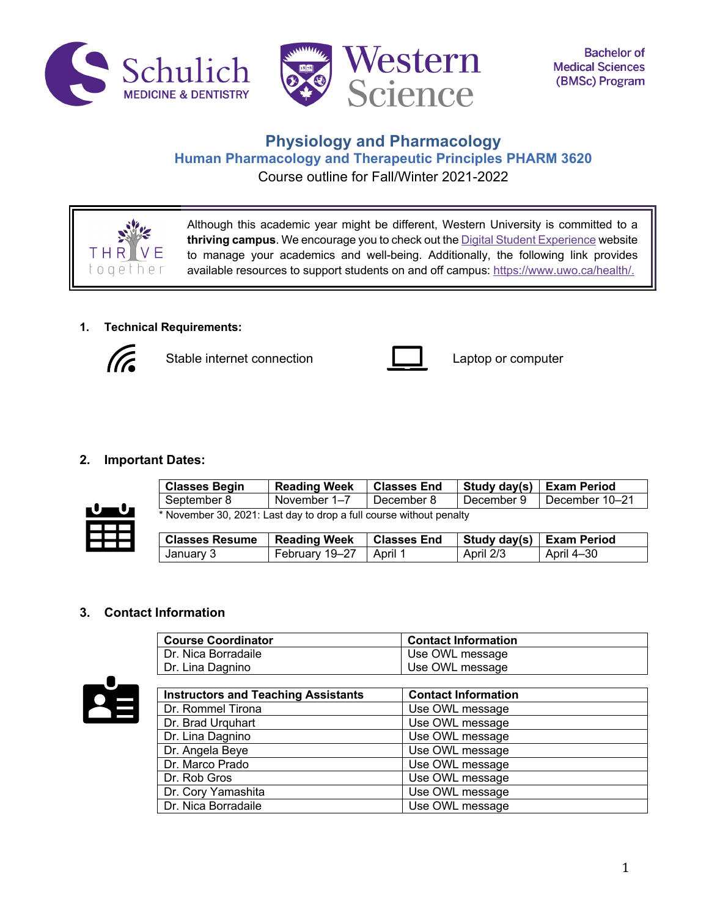



**Bachelor of Medical Sciences** (BMSc) Program

# **Physiology and Pharmacology Human Pharmacology and Therapeutic Principles PHARM 3620** Course outline for Fall/Winter 2021-2022



Although this academic year might be different, Western University is committed to a **thriving campus**. We encourage you to check out the Digital Student Experience website to manage your academics and well-being. Additionally, the following link provides available resources to support students on and off campus: https://www.uwo.ca/health/.

# **1. Technical Requirements:**



Stable internet connection **Laptop** Captop or computer



## **2. Important Dates:**



| <b>Classes Begin</b>                                                | <b>Reading Week</b> | <b>Classes End</b> | Study day(s)   Exam Period |                |
|---------------------------------------------------------------------|---------------------|--------------------|----------------------------|----------------|
| September 8                                                         | November 1–7        | December 8         | December 9                 | December 10–21 |
| * November 30, 2021: Last day to drop a full course without penalty |                     |                    |                            |                |

| <b>Classes Resume</b> Reading Week |                          | <b>c</b> Classes End |           | Study day(s) Exam Period |
|------------------------------------|--------------------------|----------------------|-----------|--------------------------|
| January 3                          | February 19-27   April 1 |                      | April 2/3 | April 4–30               |

### **3. Contact Information**

| <b>Course Coordinator</b> | <b>Contact Information</b> |
|---------------------------|----------------------------|
| Dr. Nica Borradaile       | Use OWL message            |
| Dr. Lina Dagnino          | Use OWL message            |



| <b>Instructors and Teaching Assistants</b> | <b>Contact Information</b> |
|--------------------------------------------|----------------------------|
| Dr. Rommel Tirona                          | Use OWL message            |
| Dr. Brad Urguhart                          | Use OWL message            |
| Dr. Lina Dagnino                           | Use OWL message            |
| Dr. Angela Beye                            | Use OWL message            |
| Dr. Marco Prado                            | Use OWL message            |
| Dr. Rob Gros                               | Use OWL message            |
| Dr. Cory Yamashita                         | Use OWL message            |
| Dr. Nica Borradaile                        | Use OWL message            |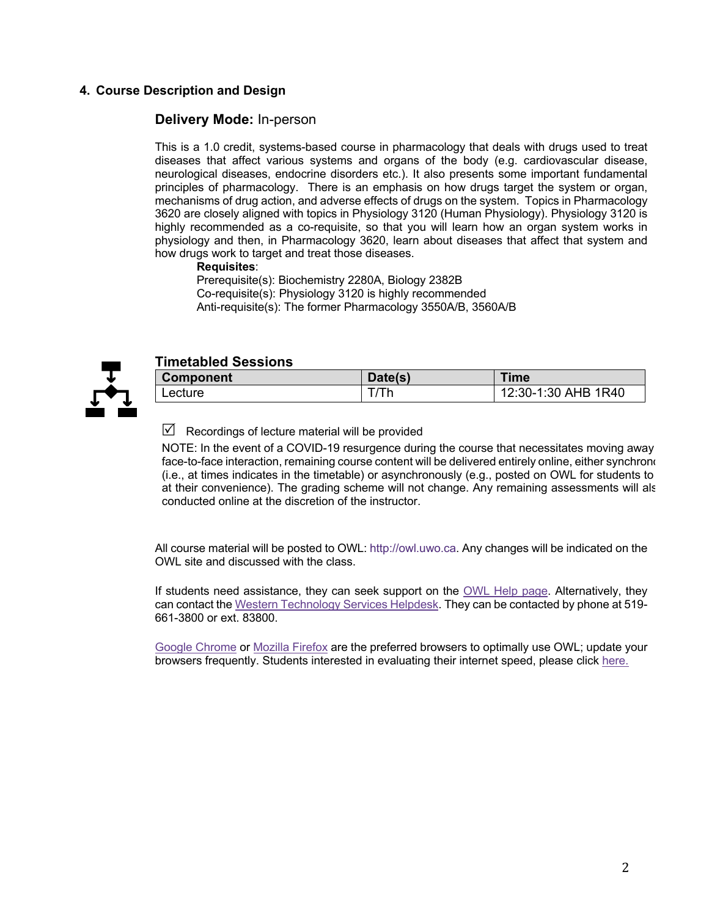## **4. Course Description and Design**

## **Delivery Mode:** In-person

This is a 1.0 credit, systems-based course in pharmacology that deals with drugs used to treat diseases that affect various systems and organs of the body (e.g. cardiovascular disease, neurological diseases, endocrine disorders etc.). It also presents some important fundamental principles of pharmacology. There is an emphasis on how drugs target the system or organ, mechanisms of drug action, and adverse effects of drugs on the system. Topics in Pharmacology 3620 are closely aligned with topics in Physiology 3120 (Human Physiology). Physiology 3120 is highly recommended as a co-requisite, so that you will learn how an organ system works in physiology and then, in Pharmacology 3620, learn about diseases that affect that system and how drugs work to target and treat those diseases.

#### **Requisites**:

Prerequisite(s): Biochemistry 2280A, Biology 2382B Co-requisite(s): Physiology 3120 is highly recommended Anti-requisite(s): The former Pharmacology 3550A/B, 3560A/B



## **Timetabled Sessions**

| <b>Component</b> | Date(s) | <b>Time</b>         |
|------------------|---------|---------------------|
| Lecture          |         | 12:30-1:30 AHB 1R40 |

Recordings of lecture material will be provided

NOTE: In the event of a COVID-19 resurgence during the course that necessitates moving away face-to-face interaction, remaining course content will be delivered entirely online, either synchronously  $(i.e., at times indicates in the timetable)$  or asynchronously  $(e.g., posted on OWL)$  for students to at their convenience). The grading scheme will not change. Any remaining assessments will als conducted online at the discretion of the instructor.

All course material will be posted to OWL: http://owl.uwo.ca. Any changes will be indicated on the OWL site and discussed with the class.

If students need assistance, they can seek support on the OWL Help page. Alternatively, they can contact the Western Technology Services Helpdesk. They can be contacted by phone at 519- 661-3800 or ext. 83800.

Google Chrome or Mozilla Firefox are the preferred browsers to optimally use OWL; update your browsers frequently. Students interested in evaluating their internet speed, please click here.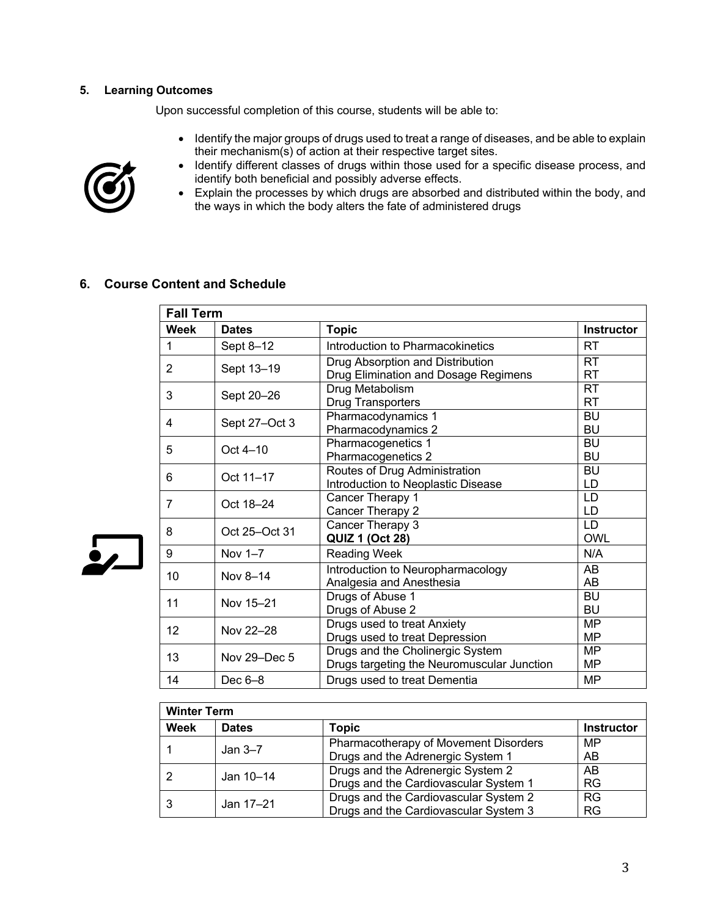#### **5. Learning Outcomes**

Upon successful completion of this course, students will be able to:

• Identify the major groups of drugs used to treat a range of diseases, and be able to explain their mechanism(s) of action at their respective target sites.



 $\frac{1}{2}$ 

- Identify different classes of drugs within those used for a specific disease process, and identify both beneficial and possibly adverse effects.
- Explain the processes by which drugs are absorbed and distributed within the body, and the ways in which the body alters the fate of administered drugs

## **6. Course Content and Schedule**

|      | <b>Fall Term</b> |                                                                                |                         |  |  |
|------|------------------|--------------------------------------------------------------------------------|-------------------------|--|--|
| Week | <b>Dates</b>     | <b>Topic</b>                                                                   | <b>Instructor</b>       |  |  |
| 1    | Sept 8-12        | Introduction to Pharmacokinetics                                               | RT                      |  |  |
| 2    | Sept 13-19       | Drug Absorption and Distribution<br>Drug Elimination and Dosage Regimens       | <b>RT</b><br><b>RT</b>  |  |  |
| 3    | Sept 20-26       | Drug Metabolism<br><b>Drug Transporters</b>                                    | <b>RT</b><br><b>RT</b>  |  |  |
| 4    | Sept 27-Oct 3    | Pharmacodynamics 1<br>Pharmacodynamics 2                                       | <b>BU</b><br><b>BU</b>  |  |  |
| 5    | Oct 4-10         | Pharmacogenetics 1<br>Pharmacogenetics 2                                       | <b>BU</b><br><b>BU</b>  |  |  |
| 6    | Oct 11-17        | Routes of Drug Administration<br>Introduction to Neoplastic Disease            | BU<br>LD                |  |  |
| 7    | Oct 18-24        | Cancer Therapy 1<br>Cancer Therapy 2                                           | LD<br>LD                |  |  |
| 8    | Oct 25-Oct 31    | Cancer Therapy 3<br><b>QUIZ 1 (Oct 28)</b>                                     | <b>LD</b><br><b>OWL</b> |  |  |
| 9    | Nov 1-7          | Reading Week                                                                   | N/A                     |  |  |
| 10   | Nov 8-14         | Introduction to Neuropharmacology<br>Analgesia and Anesthesia                  | AB<br>AB                |  |  |
| 11   | Nov 15-21        | Drugs of Abuse 1<br>Drugs of Abuse 2                                           | <b>BU</b><br>BU         |  |  |
| 12   | Nov 22-28        | Drugs used to treat Anxiety<br>Drugs used to treat Depression                  | <b>MP</b><br><b>MP</b>  |  |  |
| 13   | Nov 29-Dec 5     | Drugs and the Cholinergic System<br>Drugs targeting the Neuromuscular Junction | <b>MP</b><br><b>MP</b>  |  |  |
| 14   | Dec $6-8$        | Drugs used to treat Dementia                                                   | <b>MP</b>               |  |  |

| <b>Winter Term</b> |              |                                       |                   |  |
|--------------------|--------------|---------------------------------------|-------------------|--|
| Week               | <b>Dates</b> | Topic                                 | <b>Instructor</b> |  |
|                    |              | Pharmacotherapy of Movement Disorders | MP                |  |
|                    | Jan $3-7$    | Drugs and the Adrenergic System 1     | AB                |  |
|                    | Jan 10-14    | Drugs and the Adrenergic System 2     | AB                |  |
|                    |              | Drugs and the Cardiovascular System 1 | <b>RG</b>         |  |
|                    | Jan 17-21    | Drugs and the Cardiovascular System 2 | <b>RG</b>         |  |
|                    |              | Drugs and the Cardiovascular System 3 | <b>RG</b>         |  |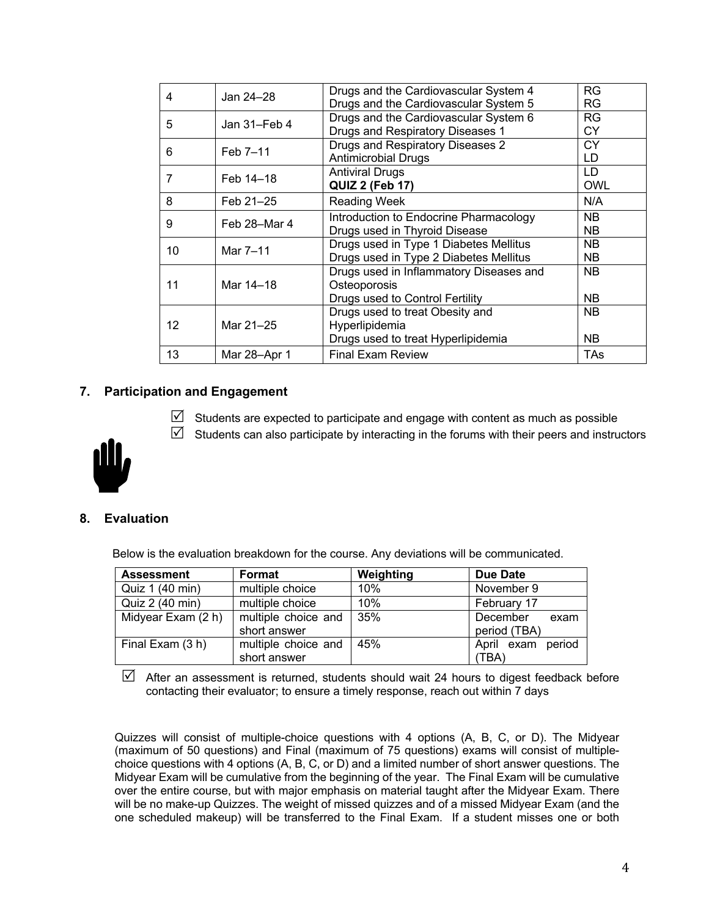| $\overline{\mathcal{A}}$ | Jan 24-28       | Drugs and the Cardiovascular System 4   | <b>RG</b>  |
|--------------------------|-----------------|-----------------------------------------|------------|
|                          |                 | Drugs and the Cardiovascular System 5   | <b>RG</b>  |
| 5                        | Jan $31$ –Feb 4 | Drugs and the Cardiovascular System 6   | <b>RG</b>  |
|                          |                 | Drugs and Respiratory Diseases 1        | <b>CY</b>  |
| 6                        | Feb 7-11        | Drugs and Respiratory Diseases 2        | CY         |
|                          |                 | <b>Antimicrobial Drugs</b>              | LD         |
| 7                        | Feb 14-18       | <b>Antiviral Drugs</b>                  | LD         |
|                          |                 | <b>QUIZ 2 (Feb 17)</b>                  | <b>OWL</b> |
| 8                        | Feb 21-25       | <b>Reading Week</b>                     | N/A        |
| 9                        | Feb 28–Mar 4    | Introduction to Endocrine Pharmacology  | NB.        |
|                          |                 | Drugs used in Thyroid Disease           | <b>NB</b>  |
| 10                       | Mar 7-11        | Drugs used in Type 1 Diabetes Mellitus  | <b>NB</b>  |
|                          |                 | Drugs used in Type 2 Diabetes Mellitus  | <b>NB</b>  |
|                          |                 | Drugs used in Inflammatory Diseases and | <b>NB</b>  |
| 11                       | Mar 14-18       | Osteoporosis                            |            |
|                          |                 | Drugs used to Control Fertility         | NB.        |
|                          |                 | Drugs used to treat Obesity and         | NB.        |
| 12                       | Mar 21-25       | Hyperlipidemia                          |            |
|                          |                 | Drugs used to treat Hyperlipidemia      | NB.        |
| 13                       | Mar 28-Apr 1    | <b>Final Exam Review</b>                | TAs        |
|                          |                 |                                         |            |

## **7. Participation and Engagement**

- $\boxtimes$  Students are expected to participate and engage with content as much as possible
- $\boxtimes$  Students can also participate by interacting in the forums with their peers and instructors



## **8. Evaluation**

Below is the evaluation breakdown for the course. Any deviations will be communicated.

| Format<br><b>Assessment</b> |                     | Weighting | Due Date                |  |
|-----------------------------|---------------------|-----------|-------------------------|--|
| Quiz 1 (40 min)             | multiple choice     | 10%       | November 9              |  |
| Quiz 2 (40 min)             | multiple choice     | 10%       | February 17             |  |
| Midyear Exam (2 h)          | multiple choice and | 35%       | December<br>exam        |  |
|                             | short answer        |           | period (TBA)            |  |
| Final Exam (3 h)            | multiple choice and | 45%       | period<br>April<br>exam |  |
|                             | short answer        |           | (TBA)                   |  |

 $\boxtimes$  After an assessment is returned, students should wait 24 hours to digest feedback before contacting their evaluator; to ensure a timely response, reach out within 7 days

Quizzes will consist of multiple-choice questions with 4 options (A, B, C, or D). The Midyear (maximum of 50 questions) and Final (maximum of 75 questions) exams will consist of multiplechoice questions with 4 options (A, B, C, or D) and a limited number of short answer questions. The Midyear Exam will be cumulative from the beginning of the year. The Final Exam will be cumulative over the entire course, but with major emphasis on material taught after the Midyear Exam. There will be no make-up Quizzes. The weight of missed quizzes and of a missed Midyear Exam (and the one scheduled makeup) will be transferred to the Final Exam. If a student misses one or both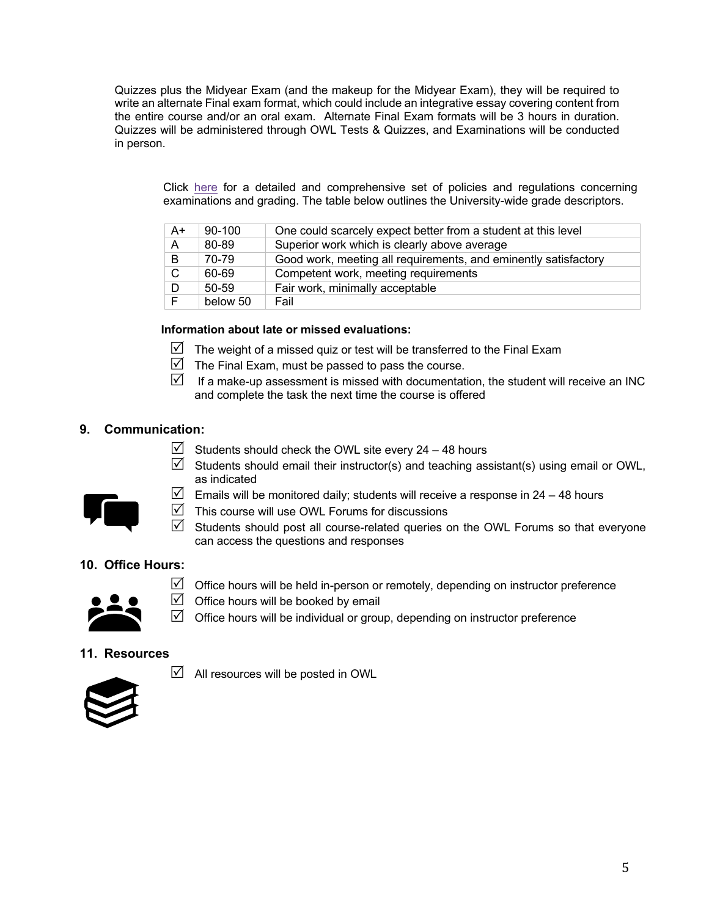Quizzes plus the Midyear Exam (and the makeup for the Midyear Exam), they will be required to write an alternate Final exam format, which could include an integrative essay covering content from the entire course and/or an oral exam. Alternate Final Exam formats will be 3 hours in duration. Quizzes will be administered through OWL Tests & Quizzes, and Examinations will be conducted in person.

Click here for a detailed and comprehensive set of policies and regulations concerning examinations and grading. The table below outlines the University-wide grade descriptors.

| $A+$ | 90-100    | One could scarcely expect better from a student at this level   |
|------|-----------|-----------------------------------------------------------------|
| A    | 80-89     | Superior work which is clearly above average                    |
| B    | 70-79     | Good work, meeting all requirements, and eminently satisfactory |
| C.   | 60-69     | Competent work, meeting requirements                            |
| D.   | $50 - 59$ | Fair work, minimally acceptable                                 |
|      | below 50  | Fail                                                            |

### **Information about late or missed evaluations:**

- $\mathbb N$  The weight of a missed quiz or test will be transferred to the Final Exam
- $\boxtimes$  The Final Exam, must be passed to pass the course.
- $\mathbb N$  If a make-up assessment is missed with documentation, the student will receive an INC and complete the task the next time the course is offered

## **9. Communication:**

- $\boxtimes$  Students should check the OWL site every 24 48 hours
- $\boxtimes$  Students should email their instructor(s) and teaching assistant(s) using email or OWL, as indicated



- Emails will be monitored daily; students will receive a response in  $24 48$  hours
- $\triangledown$  This course will use OWL Forums for discussions
- $\boxtimes$  Students should post all course-related queries on the OWL Forums so that everyone can access the questions and responses

## **10. Office Hours:**



- $\boxtimes$  Office hours will be held in-person or remotely, depending on instructor preference
- $\boxtimes$  Office hours will be booked by email
- $\boxtimes$  Office hours will be individual or group, depending on instructor preference

#### **11. Resources**





 $\boxtimes$  All resources will be posted in OWL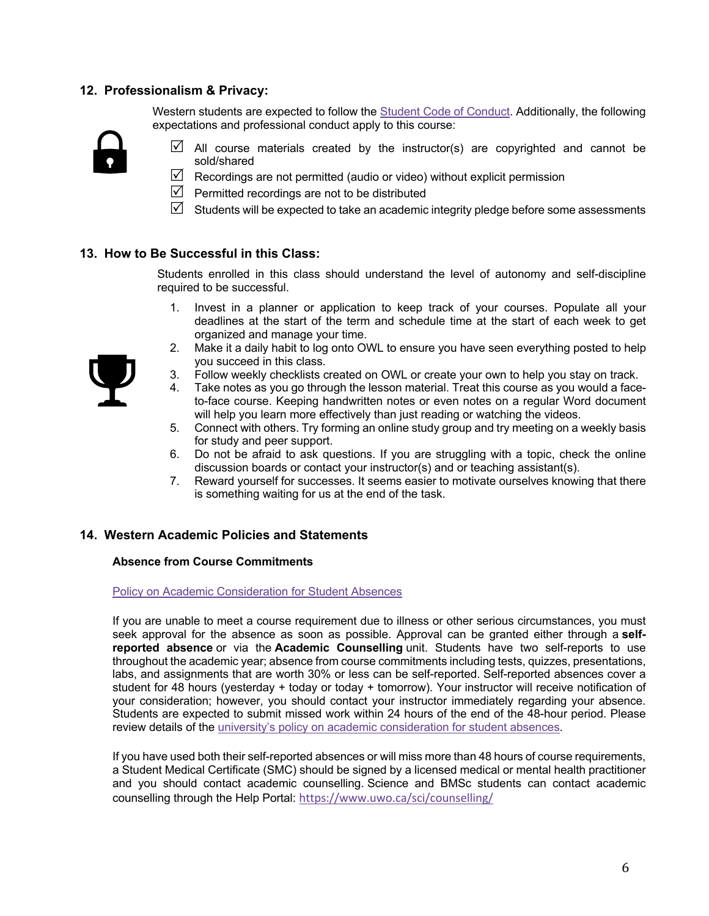## **12. Professionalism & Privacy:**

Western students are expected to follow the Student Code of Conduct. Additionally, the following expectations and professional conduct apply to this course:



- $\boxtimes$  All course materials created by the instructor(s) are copyrighted and cannot be sold/shared
- $\boxtimes$  Recordings are not permitted (audio or video) without explicit permission
- $\triangledown$  Permitted recordings are not to be distributed
- $\boxtimes$  Students will be expected to take an academic integrity pledge before some assessments

## **13. How to Be Successful in this Class:**

Students enrolled in this class should understand the level of autonomy and self-discipline required to be successful.

- 1. Invest in a planner or application to keep track of your courses. Populate all your deadlines at the start of the term and schedule time at the start of each week to get organized and manage your time.
- 2. Make it a daily habit to log onto OWL to ensure you have seen everything posted to help you succeed in this class.
- 3. Follow weekly checklists created on OWL or create your own to help you stay on track.
- 4. Take notes as you go through the lesson material. Treat this course as you would a faceto-face course. Keeping handwritten notes or even notes on a regular Word document will help you learn more effectively than just reading or watching the videos.
- 5. Connect with others. Try forming an online study group and try meeting on a weekly basis for study and peer support.
- 6. Do not be afraid to ask questions. If you are struggling with a topic, check the online discussion boards or contact your instructor(s) and or teaching assistant(s).
- 7. Reward yourself for successes. It seems easier to motivate ourselves knowing that there is something waiting for us at the end of the task.

#### **14. Western Academic Policies and Statements**

#### **Absence from Course Commitments**

#### Policy on Academic Consideration for Student Absences

If you are unable to meet a course requirement due to illness or other serious circumstances, you must seek approval for the absence as soon as possible. Approval can be granted either through a **selfreported absence** or via the **Academic Counselling** unit. Students have two self-reports to use throughout the academic year; absence from course commitments including tests, quizzes, presentations, labs, and assignments that are worth 30% or less can be self-reported. Self-reported absences cover a student for 48 hours (yesterday + today or today + tomorrow). Your instructor will receive notification of your consideration; however, you should contact your instructor immediately regarding your absence. Students are expected to submit missed work within 24 hours of the end of the 48-hour period. Please review details of the university's policy on academic consideration for student absences.

If you have used both their self-reported absences or will miss more than 48 hours of course requirements, a Student Medical Certificate (SMC) should be signed by a licensed medical or mental health practitioner and you should contact academic counselling. Science and BMSc students can contact academic counselling through the Help Portal: https://www.uwo.ca/sci/counselling/

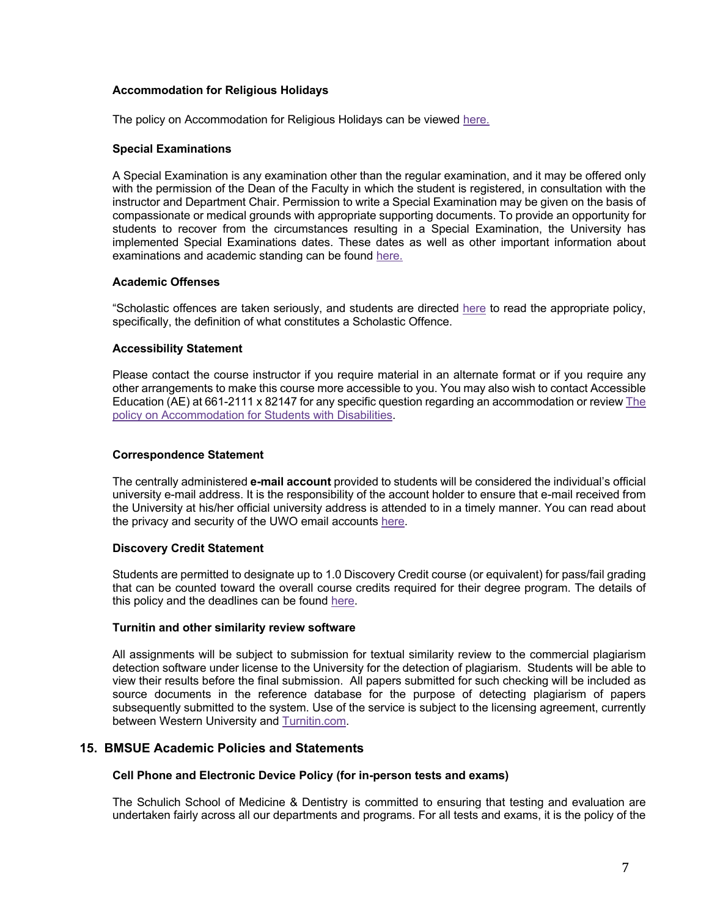#### **Accommodation for Religious Holidays**

The policy on Accommodation for Religious Holidays can be viewed here.

#### **Special Examinations**

A Special Examination is any examination other than the regular examination, and it may be offered only with the permission of the Dean of the Faculty in which the student is registered, in consultation with the instructor and Department Chair. Permission to write a Special Examination may be given on the basis of compassionate or medical grounds with appropriate supporting documents. To provide an opportunity for students to recover from the circumstances resulting in a Special Examination, the University has implemented Special Examinations dates. These dates as well as other important information about examinations and academic standing can be found here.

#### **Academic Offenses**

"Scholastic offences are taken seriously, and students are directed here to read the appropriate policy, specifically, the definition of what constitutes a Scholastic Offence.

#### **Accessibility Statement**

Please contact the course instructor if you require material in an alternate format or if you require any other arrangements to make this course more accessible to you. You may also wish to contact Accessible Education (AE) at 661-2111 x 82147 for any specific question regarding an accommodation or review The policy on Accommodation for Students with Disabilities.

#### **Correspondence Statement**

The centrally administered **e-mail account** provided to students will be considered the individual's official university e-mail address. It is the responsibility of the account holder to ensure that e-mail received from the University at his/her official university address is attended to in a timely manner. You can read about the privacy and security of the UWO email accounts here.

#### **Discovery Credit Statement**

Students are permitted to designate up to 1.0 Discovery Credit course (or equivalent) for pass/fail grading that can be counted toward the overall course credits required for their degree program. The details of this policy and the deadlines can be found here.

#### **Turnitin and other similarity review software**

All assignments will be subject to submission for textual similarity review to the commercial plagiarism detection software under license to the University for the detection of plagiarism. Students will be able to view their results before the final submission. All papers submitted for such checking will be included as source documents in the reference database for the purpose of detecting plagiarism of papers subsequently submitted to the system. Use of the service is subject to the licensing agreement, currently between Western University and Turnitin.com.

### **15. BMSUE Academic Policies and Statements**

#### **Cell Phone and Electronic Device Policy (for in-person tests and exams)**

The Schulich School of Medicine & Dentistry is committed to ensuring that testing and evaluation are undertaken fairly across all our departments and programs. For all tests and exams, it is the policy of the